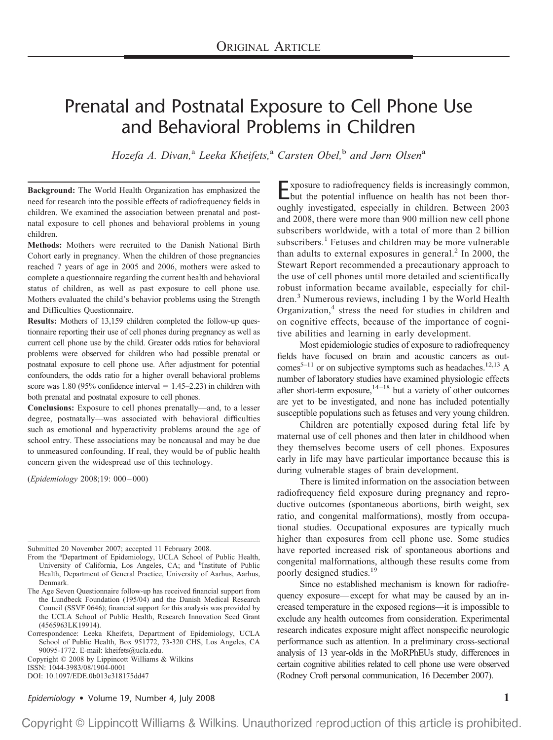# Prenatal and Postnatal Exposure to Cell Phone Use and Behavioral Problems in Children

*Hozefa A. Divan,*<sup>a</sup> *Leeka Kheifets,*<sup>a</sup> *Carsten Obel,*<sup>b</sup> *and Jørn Olsen*<sup>a</sup>

**Background:** The World Health Organization has emphasized the need for research into the possible effects of radiofrequency fields in children. We examined the association between prenatal and postnatal exposure to cell phones and behavioral problems in young children.

**Methods:** Mothers were recruited to the Danish National Birth Cohort early in pregnancy. When the children of those pregnancies reached 7 years of age in 2005 and 2006, mothers were asked to complete a questionnaire regarding the current health and behavioral status of children, as well as past exposure to cell phone use. Mothers evaluated the child's behavior problems using the Strength and Difficulties Questionnaire.

**Results:** Mothers of 13,159 children completed the follow-up questionnaire reporting their use of cell phones during pregnancy as well as current cell phone use by the child. Greater odds ratios for behavioral problems were observed for children who had possible prenatal or postnatal exposure to cell phone use. After adjustment for potential confounders, the odds ratio for a higher overall behavioral problems score was 1.80 (95% confidence interval  $= 1.45 - 2.23$ ) in children with both prenatal and postnatal exposure to cell phones.

**Conclusions:** Exposure to cell phones prenatally—and, to a lesser degree, postnatally—was associated with behavioral difficulties such as emotional and hyperactivity problems around the age of school entry. These associations may be noncausal and may be due to unmeasured confounding. If real, they would be of public health concern given the widespread use of this technology.

(*Epidemiology* 2008;19: 000–000)

Submitted 20 November 2007; accepted 11 February 2008.

- From the <sup>a</sup>Department of Epidemiology, UCLA School of Public Health, University of California, Los Angeles, CA; and <sup>b</sup>Institute of Public Health, Department of General Practice, University of Aarhus, Aarhus, Denmark.
- The Age Seven Questionnaire follow-up has received financial support from the Lundbeck Foundation (195/04) and the Danish Medical Research Council (SSVF 0646); financial support for this analysis was provided by the UCLA School of Public Health, Research Innovation Seed Grant (4565963LK19914).
- Correspondence: Leeka Kheifets, Department of Epidemiology, UCLA School of Public Health, Box 951772, 73-320 CHS, Los Angeles, CA 90095-1772. E-mail: kheifets@ucla.edu.

Copyright © 2008 by Lippincott Williams & Wilkins

ISSN: 1044-3983/08/1904-0001 DOI: 10.1097/EDE.0b013e318175dd47

Exposure to radiofrequency fields is increasingly common, but the potential influence on health has not been thoroughly investigated, especially in children. Between 2003 and 2008, there were more than 900 million new cell phone subscribers worldwide, with a total of more than 2 billion subscribers.<sup>1</sup> Fetuses and children may be more vulnerable than adults to external exposures in general. <sup>2</sup> In 2000, the Stewart Report recommended a precautionary approach to the use of cell phones until more detailed and scientifically robust information became available, especially for children. <sup>3</sup> Numerous reviews, including 1 by the World Health Organization, <sup>4</sup> stress the need for studies in children and on cognitive effects, because of the importance of cognitive abilities and learning in early development.

Most epidemiologic studies of exposure to radiofrequency fields have focused on brain and acoustic cancers as outcomes<sup>5-11</sup> or on subjective symptoms such as headaches.<sup>12,13</sup> A number of laboratory studies have examined physiologic effects after short-term exposure,  $14-18$  but a variety of other outcomes are yet to be investigated, and none has included potentially susceptible populations such as fetuses and very young children.

Children are potentially exposed during fetal life by maternal use of cell phones and then later in childhood when they themselves become users of cell phones. Exposures early in life may have particular importance because this is during vulnerable stages of brain development.

There is limited information on the association between radiofrequency field exposure during pregnancy and reproductive outcomes (spontaneous abortions, birth weight, sex ratio, and congenital malformations), mostly from occupational studies. Occupational exposures are typically much higher than exposures from cell phone use. Some studies have reported increased risk of spontaneous abortions and congenital malformations, although these results come from poorly designed studies.<sup>19</sup>

Since no established mechanism is known for radiofrequency exposure—except for what may be caused by an increased temperature in the exposed regions—it is impossible to exclude any health outcomes from consideration. Experimental research indicates exposure might affect nonspecific neurologic performance such as attention. In a preliminary cross-sectional analysis of 13 year-olds in the MoRPhEUs study, differences in certain cognitive abilities related to cell phone use were observed (Rodney Croft personal communication, 16 December 2007).

*Epidemiology* • Volume 19, Number 4, July 2008 **1**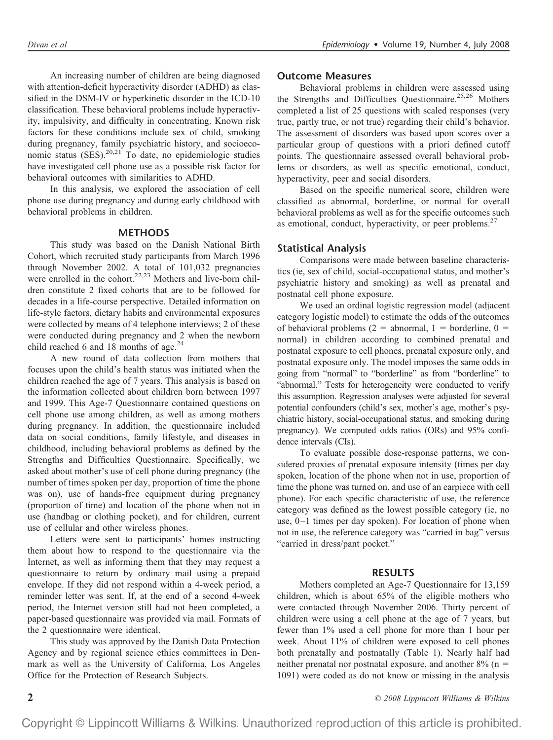An increasing number of children are being diagnosed with attention-deficit hyperactivity disorder (ADHD) as classified in the DSM-IV or hyperkinetic disorder in the ICD-10 classification. These behavioral problems include hyperactivity, impulsivity, and difficulty in concentrating. Known risk factors for these conditions include sex of child, smoking during pregnancy, family psychiatric history, and socioeconomic status  $(SES)$ .<sup>20,21</sup> To date, no epidemiologic studies have investigated cell phone use as a possible risk factor for behavioral outcomes with similarities to ADHD.

In this analysis, we explored the association of cell phone use during pregnancy and during early childhood with behavioral problems in children.

### **METHODS**

This study was based on the Danish National Birth Cohort, which recruited study participants from March 1996 through November 2002. A total of 101,032 pregnancies were enrolled in the cohort.<sup>22,23</sup> Mothers and live-born children constitute 2 fixed cohorts that are to be followed for decades in a life-course perspective. Detailed information on life-style factors, dietary habits and environmental exposures were collected by means of 4 telephone interviews; 2 of these were conducted during pregnancy and 2 when the newborn child reached 6 and 18 months of age. $24$ 

A new round of data collection from mothers that focuses upon the child's health status was initiated when the children reached the age of 7 years. This analysis is based on the information collected about children born between 1997 and 1999. This Age-7 Questionnaire contained questions on cell phone use among children, as well as among mothers during pregnancy. In addition, the questionnaire included data on social conditions, family lifestyle, and diseases in childhood, including behavioral problems as defined by the Strengths and Difficulties Questionnaire. Specifically, we asked about mother's use of cell phone during pregnancy (the number of times spoken per day, proportion of time the phone was on), use of hands-free equipment during pregnancy (proportion of time) and location of the phone when not in use (handbag or clothing pocket), and for children, current use of cellular and other wireless phones.

Letters were sent to participants' homes instructing them about how to respond to the questionnaire via the Internet, as well as informing them that they may request a questionnaire to return by ordinary mail using a prepaid envelope. If they did not respond within a 4-week period, a reminder letter was sent. If, at the end of a second 4-week period, the Internet version still had not been completed, a paper-based questionnaire was provided via mail. Formats of the 2 questionnaire were identical.

This study was approved by the Danish Data Protection Agency and by regional science ethics committees in Denmark as well as the University of California, Los Angeles Office for the Protection of Research Subjects.

#### **Outcome Measures**

Behavioral problems in children were assessed using the Strengths and Difficulties Questionnaire.<sup>25,26</sup> Mothers completed a list of 25 questions with scaled responses (very true, partly true, or not true) regarding their child's behavior. The assessment of disorders was based upon scores over a particular group of questions with a priori defined cutoff points. The questionnaire assessed overall behavioral problems or disorders, as well as specific emotional, conduct, hyperactivity, peer and social disorders.

Based on the specific numerical score, children were classified as abnormal, borderline, or normal for overall behavioral problems as well as for the specific outcomes such as emotional, conduct, hyperactivity, or peer problems. $27$ 

#### **Statistical Analysis**

Comparisons were made between baseline characteristics (ie, sex of child, social-occupational status, and mother's psychiatric history and smoking) as well as prenatal and postnatal cell phone exposure.

We used an ordinal logistic regression model (adjacent category logistic model) to estimate the odds of the outcomes of behavioral problems (2 = abnormal, 1 = borderline, 0 = normal) in children according to combined prenatal and postnatal exposure to cell phones, prenatal exposure only, and postnatal exposure only. The model imposes the same odds in going from "normal" to "borderline" as from "borderline" to "abnormal." Tests for heterogeneity were conducted to verify this assumption. Regression analyses were adjusted for several potential confounders (child's sex, mother's age, mother's psychiatric history, social-occupational status, and smoking during pregnancy). We computed odds ratios (ORs) and 95% confidence intervals (CIs).

To evaluate possible dose-response patterns, we considered proxies of prenatal exposure intensity (times per day spoken, location of the phone when not in use, proportion of time the phone was turned on, and use of an earpiece with cell phone). For each specific characteristic of use, the reference category was defined as the lowest possible category (ie, no use, 0–1 times per day spoken). For location of phone when not in use, the reference category was "carried in bag" versus "carried in dress/pant pocket."

#### **RESULTS**

Mothers completed an Age-7 Questionnaire for 13,159 children, which is about 65% of the eligible mothers who were contacted through November 2006. Thirty percent of children were using a cell phone at the age of 7 years, but fewer than 1% used a cell phone for more than 1 hour per week. About 11% of children were exposed to cell phones both prenatally and postnatally (Table 1). Nearly half had neither prenatal nor postnatal exposure, and another  $8\%$  (n = 1091) were coded as do not know or missing in the analysis

**2** *© 2008 Lippincott Williams & Wilkins*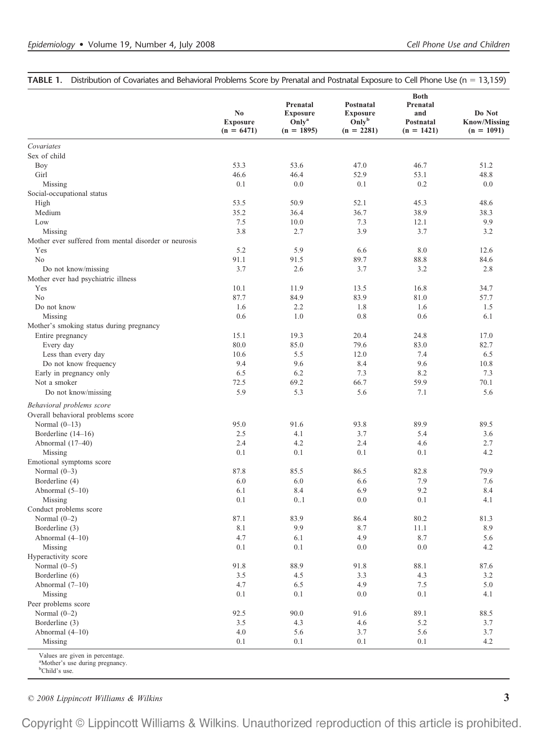| Covariates<br>Sex of child<br>Boy<br>Girl<br>Missing<br>Social-occupational status<br>High<br>Medium<br>Low<br>Missing<br>Mother ever suffered from mental disorder or neurosis | 53.3<br>46.6<br>0.1<br>53.5<br>35.2 | 53.6<br>46.4<br>0.0 | 47.0 |      |      |
|---------------------------------------------------------------------------------------------------------------------------------------------------------------------------------|-------------------------------------|---------------------|------|------|------|
|                                                                                                                                                                                 |                                     |                     |      |      |      |
|                                                                                                                                                                                 |                                     |                     |      |      |      |
|                                                                                                                                                                                 |                                     |                     |      | 46.7 | 51.2 |
|                                                                                                                                                                                 |                                     |                     | 52.9 | 53.1 | 48.8 |
|                                                                                                                                                                                 |                                     |                     | 0.1  | 0.2  | 0.0  |
|                                                                                                                                                                                 |                                     |                     |      |      |      |
|                                                                                                                                                                                 |                                     | 50.9                | 52.1 | 45.3 | 48.6 |
|                                                                                                                                                                                 |                                     | 36.4                | 36.7 | 38.9 | 38.3 |
|                                                                                                                                                                                 | 7.5                                 | 10.0                | 7.3  | 12.1 | 9.9  |
|                                                                                                                                                                                 | 3.8                                 | 2.7                 | 3.9  | 3.7  | 3.2  |
|                                                                                                                                                                                 |                                     |                     |      |      |      |
| Yes                                                                                                                                                                             | 5.2                                 | 5.9                 | 6.6  | 8.0  | 12.6 |
| No                                                                                                                                                                              | 91.1                                | 91.5                | 89.7 | 88.8 | 84.6 |
| Do not know/missing                                                                                                                                                             | 3.7                                 | 2.6                 | 3.7  | 3.2  | 2.8  |
| Mother ever had psychiatric illness                                                                                                                                             |                                     |                     |      |      |      |
| Yes                                                                                                                                                                             | 10.1                                | 11.9                | 13.5 | 16.8 | 34.7 |
| No                                                                                                                                                                              | 87.7                                | 84.9                | 83.9 | 81.0 | 57.7 |
| Do not know                                                                                                                                                                     | 1.6                                 | 2.2                 | 1.8  | 1.6  | 1.5  |
| Missing                                                                                                                                                                         | 0.6                                 | 1.0                 | 0.8  | 0.6  | 6.1  |
| Mother's smoking status during pregnancy                                                                                                                                        |                                     |                     |      |      |      |
| Entire pregnancy                                                                                                                                                                | 15.1                                | 19.3                | 20.4 | 24.8 | 17.0 |
| Every day                                                                                                                                                                       | 80.0                                | 85.0                | 79.6 | 83.0 | 82.7 |
| Less than every day                                                                                                                                                             | 10.6                                | 5.5                 | 12.0 | 7.4  | 6.5  |
| Do not know frequency                                                                                                                                                           | 9.4                                 | 9.6                 | 8.4  | 9.6  | 10.8 |
| Early in pregnancy only                                                                                                                                                         | 6.5                                 | 6.2                 | 7.3  | 8.2  | 7.3  |
| Not a smoker                                                                                                                                                                    | 72.5                                | 69.2                | 66.7 | 59.9 | 70.1 |
| Do not know/missing                                                                                                                                                             | 5.9                                 | 5.3                 | 5.6  | 7.1  | 5.6  |
| Behavioral problems score<br>Overall behavioral problems score                                                                                                                  |                                     |                     |      |      |      |
| Normal $(0-13)$                                                                                                                                                                 | 95.0                                | 91.6                | 93.8 | 89.9 | 89.5 |
| Borderline (14-16)                                                                                                                                                              | 2.5                                 | 4.1                 | 3.7  | 5.4  | 3.6  |
| Abnormal (17-40)                                                                                                                                                                | 2.4                                 | 4.2                 | 2.4  | 4.6  | 2.7  |
| Missing                                                                                                                                                                         | 0.1                                 | 0.1                 | 0.1  | 0.1  | 4.2  |
| Emotional symptoms score                                                                                                                                                        |                                     |                     |      |      |      |
| Normal $(0-3)$                                                                                                                                                                  | 87.8                                | 85.5                | 86.5 | 82.8 | 79.9 |
| Borderline (4)                                                                                                                                                                  | 6.0                                 | 6.0                 | 6.6  | 7.9  | 7.6  |
| Abnormal $(5-10)$                                                                                                                                                               | 6.1                                 | 8.4                 | 6.9  | 9.2  | 8.4  |
| Missing                                                                                                                                                                         | 0.1                                 | 0.1                 | 0.0  | 0.1  | 4.1  |
| Conduct problems score                                                                                                                                                          |                                     |                     |      |      |      |
| Normal $(0-2)$                                                                                                                                                                  | 87.1                                | 83.9                | 86.4 | 80.2 | 81.3 |
| Borderline (3)                                                                                                                                                                  | 8.1                                 | 9.9                 | 8.7  | 11.1 | 8.9  |
| Abnormal (4-10)                                                                                                                                                                 | 4.7                                 | 6.1                 | 4.9  | 8.7  | 5.6  |
| Missing                                                                                                                                                                         | 0.1                                 | 0.1                 | 0.0  | 0.0  | 4.2  |
| Hyperactivity score                                                                                                                                                             |                                     |                     |      |      |      |
| Normal $(0-5)$                                                                                                                                                                  | 91.8                                | 88.9                | 91.8 | 88.1 | 87.6 |
| Borderline (6)                                                                                                                                                                  | 3.5                                 | 4.5                 | 3.3  | 4.3  | 3.2  |
| Abnormal (7-10)                                                                                                                                                                 | 4.7                                 | 6.5                 | 4.9  | 7.5  | 5.0  |
| Missing                                                                                                                                                                         | 0.1                                 | 0.1                 | 0.0  | 0.1  | 4.1  |
| Peer problems score                                                                                                                                                             |                                     |                     |      |      |      |
| Normal $(0-2)$                                                                                                                                                                  | 92.5                                | 90.0                | 91.6 | 89.1 | 88.5 |
| Borderline (3)                                                                                                                                                                  | 3.5                                 | 4.3                 | 4.6  | 5.2  | 3.7  |
| Abnormal (4-10)                                                                                                                                                                 | 4.0                                 | 5.6                 | 3.7  | 5.6  | 3.7  |
| Missing                                                                                                                                                                         | 0.1                                 | 0.1                 | 0.1  | 0.1  | 4.2  |

**TABLE 1.** Distribution of Covariates and Behavioral Problems Score by Prenatal and Postnatal Exposure to Cell Phone Use (n = 13,159)

 $\alpha^{\text{a}}$ Mother's use during pregnancy.

<sup>b</sup>Child's use.

*© 2008 Lippincott Williams & Wilkins* **3**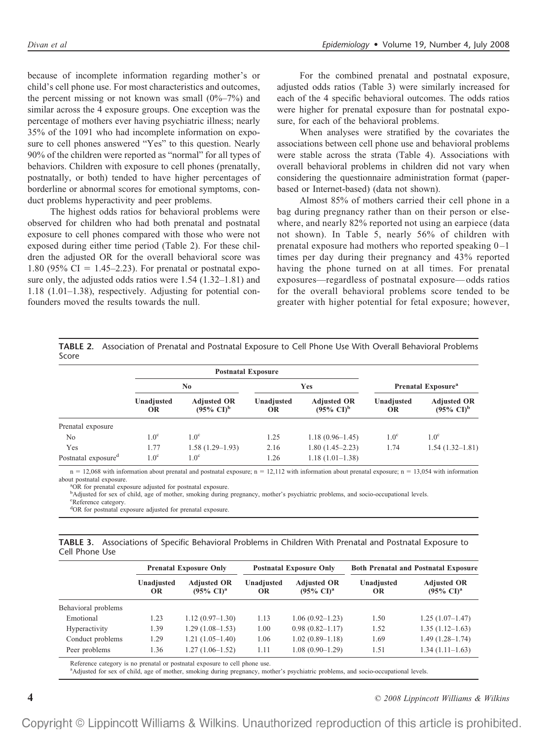because of incomplete information regarding mother's or child's cell phone use. For most characteristics and outcomes, the percent missing or not known was small  $(0\%-7\%)$  and similar across the 4 exposure groups. One exception was the percentage of mothers ever having psychiatric illness; nearly 35% of the 1091 who had incomplete information on exposure to cell phones answered "Yes" to this question. Nearly 90% of the children were reported as "normal" for all types of behaviors. Children with exposure to cell phones (prenatally, postnatally, or both) tended to have higher percentages of borderline or abnormal scores for emotional symptoms, conduct problems hyperactivity and peer problems.

The highest odds ratios for behavioral problems were observed for children who had both prenatal and postnatal exposure to cell phones compared with those who were not exposed during either time period (Table 2). For these children the adjusted OR for the overall behavioral score was 1.80 (95% CI = 1.45–2.23). For prenatal or postnatal exposure only, the adjusted odds ratios were 1.54 (1.32–1.81) and 1.18 (1.01–1.38), respectively. Adjusting for potential confounders moved the results towards the null.

For the combined prenatal and postnatal exposure, adjusted odds ratios (Table 3) were similarly increased for each of the 4 specific behavioral outcomes. The odds ratios were higher for prenatal exposure than for postnatal exposure, for each of the behavioral problems.

When analyses were stratified by the covariates the associations between cell phone use and behavioral problems were stable across the strata (Table 4). Associations with overall behavioral problems in children did not vary when considering the questionnaire administration format (paperbased or Internet-based) (data not shown).

Almost 85% of mothers carried their cell phone in a bag during pregnancy rather than on their person or elsewhere, and nearly 82% reported not using an earpiece (data not shown). In Table 5, nearly 56% of children with prenatal exposure had mothers who reported speaking  $0-1$ times per day during their pregnancy and 43% reported having the phone turned on at all times. For prenatal exposures—regardless of postnatal exposure—odds ratios for the overall behavioral problems score tended to be greater with higher potential for fetal exposure; however,

|       | <b>TABLE 2.</b> Association of Prenatal and Postnatal Exposure to Cell Phone Use With Overall Behavioral Problems |  |  |
|-------|-------------------------------------------------------------------------------------------------------------------|--|--|
| Score |                                                                                                                   |  |  |

|                                 | <b>Postnatal Exposure</b> |                                                      |                         |                                                      |                                |                                                      |
|---------------------------------|---------------------------|------------------------------------------------------|-------------------------|------------------------------------------------------|--------------------------------|------------------------------------------------------|
|                                 | $\bf No$                  |                                                      | Yes                     |                                                      | Prenatal Exposure <sup>a</sup> |                                                      |
|                                 | Unadjusted<br><b>OR</b>   | <b>Adjusted OR</b><br>$(95\% \text{ CI})^{\text{b}}$ | Unadjusted<br><b>OR</b> | <b>Adjusted OR</b><br>$(95\% \text{ Cl})^{\text{b}}$ | Unadjusted<br><b>OR</b>        | <b>Adjusted OR</b><br>$(95\% \text{ CI})^{\text{b}}$ |
| Prenatal exposure               |                           |                                                      |                         |                                                      |                                |                                                      |
| N <sub>0</sub>                  | 1.0 <sup>c</sup>          | $1.0^\circ$                                          | 1.25                    | $1.18(0.96-1.45)$                                    | 1.0 <sup>c</sup>               | 1.0 <sup>c</sup>                                     |
| Yes                             | 1.77                      | $1.58(1.29-1.93)$                                    | 2.16                    | $1.80(1.45-2.23)$                                    | 1.74                           | $1.54(1.32 - 1.81)$                                  |
| Postnatal exposure <sup>d</sup> | 1.0 <sup>c</sup>          | $1.0^{\circ}$                                        | 1.26                    | $1.18(1.01-1.38)$                                    |                                |                                                      |

 $n = 12,068$  with information about prenatal and postnatal exposure;  $n = 12,112$  with information about prenatal exposure;  $n = 13,054$  with information about postnatal exposure.

<sup>a</sup>OR for prenatal exposure adjusted for postnatal exposure.

<sup>b</sup>Adjusted for sex of child, age of mother, smoking during pregnancy, mother's psychiatric problems, and socio-occupational levels. <sup>c</sup>Reference category.

OR for postnatal exposure adjusted for prenatal exposure.

**TABLE 3.** Associations of Specific Behavioral Problems in Children With Prenatal and Postnatal Exposure to Cell Phone Use

| <b>Prenatal Exposure Only</b> |                                                      | <b>Postnatal Exposure Only</b> |                                                      | <b>Both Prenatal and Postnatal Exposure</b> |                                                      |
|-------------------------------|------------------------------------------------------|--------------------------------|------------------------------------------------------|---------------------------------------------|------------------------------------------------------|
| Unadjusted<br><b>OR</b>       | <b>Adjusted OR</b><br>$(95\% \text{ CI})^{\text{a}}$ | Unadjusted<br><b>OR</b>        | <b>Adjusted OR</b><br>$(95\% \text{ Cl})^{\text{a}}$ | Unadjusted<br>OR                            | <b>Adjusted OR</b><br>$(95\% \text{ Cl})^{\text{a}}$ |
|                               |                                                      |                                |                                                      |                                             |                                                      |
| 1.23                          | $1.12(0.97-1.30)$                                    | 1.13                           | $1.06(0.92 - 1.23)$                                  | 1.50                                        | $1.25(1.07-1.47)$                                    |
| 1.39                          | $1.29(1.08-1.53)$                                    | 1.00                           | $0.98(0.82 - 1.17)$                                  | 1.52                                        | $1.35(1.12 - 1.63)$                                  |
| 1.29                          | $1.21(1.05-1.40)$                                    | 1.06                           | $1.02(0.89-1.18)$                                    | 1.69                                        | $1.49(1.28 - 1.74)$                                  |
| 1.36                          | $1.27(1.06-1.52)$                                    | 1.11                           | $1.08(0.90-1.29)$                                    | 1.51                                        | $1.34(1.11-1.63)$                                    |
|                               |                                                      |                                |                                                      |                                             |                                                      |

Reference category is no prenatal or postnatal exposure to cell phone use.<br><sup>a</sup>Adjusted for sex of child, age of mother, smoking during pregnancy, mother's psychiatric problems, and socio-occupational levels.

**4** *© 2008 Lippincott Williams & Wilkins*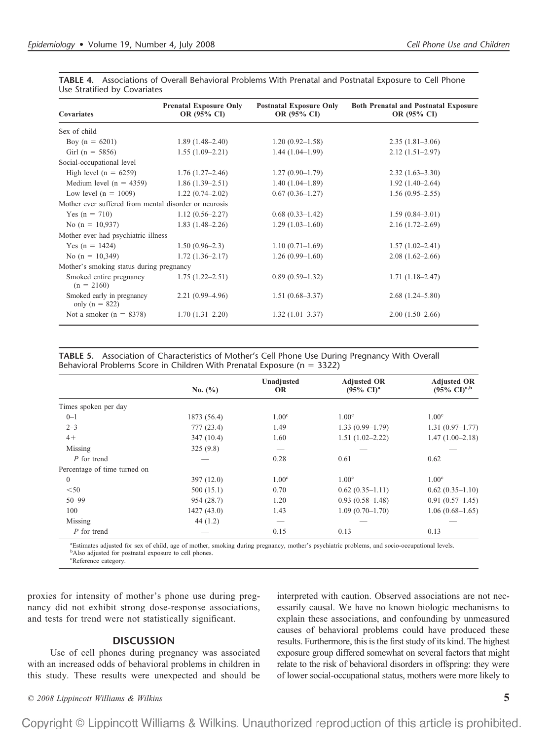| <b>Covariates</b>                                     | <b>Prenatal Exposure Only</b><br>OR (95% CI) | <b>Postnatal Exposure Only</b><br>OR (95% CI) | <b>Both Prenatal and Postnatal Exposure</b><br>OR (95% CI) |
|-------------------------------------------------------|----------------------------------------------|-----------------------------------------------|------------------------------------------------------------|
| Sex of child                                          |                                              |                                               |                                                            |
| Boy $(n = 6201)$                                      | $1.89(1.48-2.40)$                            | $1.20(0.92 - 1.58)$                           | $2.35(1.81-3.06)$                                          |
| Girl ( $n = 5856$ )                                   | $1.55(1.09-2.21)$                            | $1.44(1.04-1.99)$                             | $2.12(1.51 - 2.97)$                                        |
| Social-occupational level                             |                                              |                                               |                                                            |
| High level $(n = 6259)$                               | $1.76(1.27-2.46)$                            | $1.27(0.90-1.79)$                             | $2.32(1.63-3.30)$                                          |
| Medium level $(n = 4359)$                             | $1.86(1.39-2.51)$                            | $1.40(1.04-1.89)$                             | $1.92(1.40-2.64)$                                          |
| Low level $(n = 1009)$                                | $1.22(0.74 - 2.02)$                          | $0.67(0.36-1.27)$                             | $1.56(0.95-2.55)$                                          |
| Mother ever suffered from mental disorder or neurosis |                                              |                                               |                                                            |
| Yes $(n = 710)$                                       | $1.12(0.56-2.27)$                            | $0.68(0.33-1.42)$                             | $1.59(0.84 - 3.01)$                                        |
| No $(n = 10,937)$                                     | $1.83(1.48-2.26)$                            | $1.29(1.03-1.60)$                             | $2.16(1.72 - 2.69)$                                        |
| Mother ever had psychiatric illness                   |                                              |                                               |                                                            |
| Yes $(n = 1424)$                                      | $1.50(0.96-2.3)$                             | $1.10(0.71-1.69)$                             | $1.57(1.02 - 2.41)$                                        |
| No $(n = 10,349)$                                     | $1.72(1.36-2.17)$                            | $1.26(0.99-1.60)$                             | $2.08(1.62 - 2.66)$                                        |
| Mother's smoking status during pregnancy              |                                              |                                               |                                                            |
| Smoked entire pregnancy<br>$(n = 2160)$               | $1.75(1.22 - 2.51)$                          | $0.89(0.59-1.32)$                             | $1.71(1.18-2.47)$                                          |
| Smoked early in pregnancy<br>only ( $n = 822$ )       | $2.21(0.99-4.96)$                            | $1.51(0.68 - 3.37)$                           | $2.68(1.24 - 5.80)$                                        |
| Not a smoker $(n = 8378)$                             | $1.70(1.31-2.20)$                            | $1.32(1.01-3.37)$                             | $2.00(1.50-2.66)$                                          |

**TABLE 4.** Associations of Overall Behavioral Problems With Prenatal and Postnatal Exposure to Cell Phone Use Stratified by Covariates

**TABLE 5.** Association of Characteristics of Mother's Cell Phone Use During Pregnancy With Overall Behavioral Problems Score in Children With Prenatal Exposure ( $n = 3322$ )

|                              |             | Unadjusted        | <b>Adjusted OR</b>             | <b>Adjusted OR</b>        |
|------------------------------|-------------|-------------------|--------------------------------|---------------------------|
|                              | No. $(\% )$ | <b>OR</b>         | $(95\% \text{ CI})^{\text{a}}$ | $(95\% \text{ Cl})^{a,b}$ |
| Times spoken per day         |             |                   |                                |                           |
| $0 - 1$                      | 1873 (56.4) | 1.00 <sup>c</sup> | 1.00 <sup>c</sup>              | 1.00 <sup>c</sup>         |
| $2 - 3$                      | 777(23.4)   | 1.49              | $1.33(0.99-1.79)$              | $1.31(0.97-1.77)$         |
| $4+$                         | 347(10.4)   | 1.60              | $1.51(1.02 - 2.22)$            | $1.47(1.00-2.18)$         |
| Missing                      | 325(9.8)    |                   |                                |                           |
| P for trend                  |             | 0.28              | 0.61                           | 0.62                      |
| Percentage of time turned on |             |                   |                                |                           |
| $\Omega$                     | 397(12.0)   | 1.00 <sup>c</sup> | 1.00 <sup>c</sup>              | 1.00 <sup>c</sup>         |
| $<$ 50                       | 500(15.1)   | 0.70              | $0.62(0.35-1.11)$              | $0.62(0.35-1.10)$         |
| $50 - 99$                    | 954 (28.7)  | 1.20              | $0.93(0.58-1.48)$              | $0.91(0.57-1.45)$         |
| 100                          | 1427(43.0)  | 1.43              | $1.09(0.70-1.70)$              | $1.06(0.68-1.65)$         |
| Missing                      | 44(1.2)     |                   |                                |                           |
| P for trend                  |             | 0.15              | 0.13                           | 0.13                      |

<sup>a</sup>Estimates adjusted for sex of child, age of mother, smoking during pregnancy, mother's psychiatric problems, and socio-occupational levels. <sup>b</sup>Also adjusted for postnatal exposure to cell phones.

Reference category.

proxies for intensity of mother's phone use during pregnancy did not exhibit strong dose-response associations, and tests for trend were not statistically significant.

## **DISCUSSION**

Use of cell phones during pregnancy was associated with an increased odds of behavioral problems in children in this study. These results were unexpected and should be

interpreted with caution. Observed associations are not necessarily causal. We have no known biologic mechanisms to explain these associations, and confounding by unmeasured causes of behavioral problems could have produced these results. Furthermore, this is the first study of its kind. The highest exposure group differed somewhat on several factors that might relate to the risk of behavioral disorders in offspring: they were of lower social-occupational status, mothers were more likely to

*© 2008 Lippincott Williams & Wilkins* **5**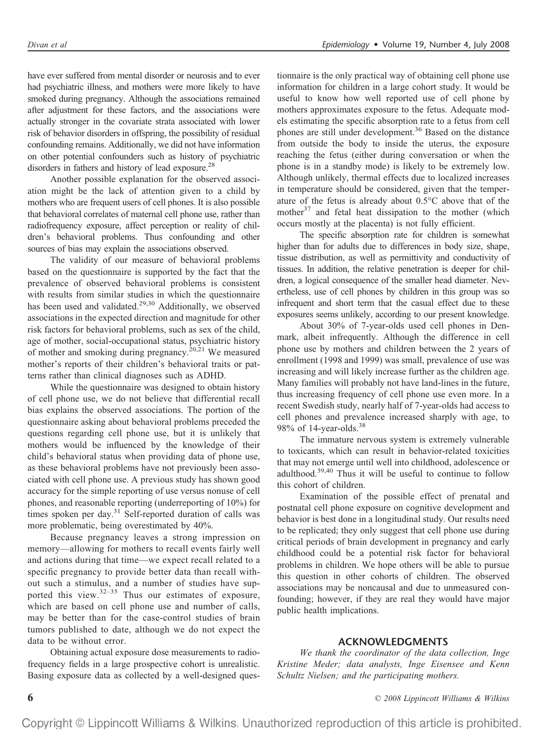have ever suffered from mental disorder or neurosis and to ever had psychiatric illness, and mothers were more likely to have smoked during pregnancy. Although the associations remained after adjustment for these factors, and the associations were actually stronger in the covariate strata associated with lower risk of behavior disorders in offspring, the possibility of residual confounding remains. Additionally, we did not have information on other potential confounders such as history of psychiatric disorders in fathers and history of lead exposure.<sup>28</sup>

Another possible explanation for the observed association might be the lack of attention given to a child by mothers who are frequent users of cell phones. It is also possible that behavioral correlates of maternal cell phone use, rather than radiofrequency exposure, affect perception or reality of children's behavioral problems. Thus confounding and other sources of bias may explain the associations observed.

The validity of our measure of behavioral problems based on the questionnaire is supported by the fact that the prevalence of observed behavioral problems is consistent with results from similar studies in which the questionnaire has been used and validated.<sup>29,30</sup> Additionally, we observed associations in the expected direction and magnitude for other risk factors for behavioral problems, such as sex of the child, age of mother, social-occupational status, psychiatric history of mother and smoking during pregnancy.<sup>20,21</sup> We measured mother's reports of their children's behavioral traits or patterns rather than clinical diagnoses such as ADHD.

While the questionnaire was designed to obtain history of cell phone use, we do not believe that differential recall bias explains the observed associations. The portion of the questionnaire asking about behavioral problems preceded the questions regarding cell phone use, but it is unlikely that mothers would be influenced by the knowledge of their child's behavioral status when providing data of phone use, as these behavioral problems have not previously been associated with cell phone use. A previous study has shown good accuracy for the simple reporting of use versus nonuse of cell phones, and reasonable reporting (underreporting of 10%) for times spoken per day. $31$  Self-reported duration of calls was more problematic, being overestimated by 40%.

Because pregnancy leaves a strong impression on memory—allowing for mothers to recall events fairly well and actions during that time—we expect recall related to a specific pregnancy to provide better data than recall without such a stimulus, and a number of studies have supported this view.<sup>32-35</sup> Thus our estimates of exposure, which are based on cell phone use and number of calls, may be better than for the case-control studies of brain tumors published to date, although we do not expect the data to be without error.

Obtaining actual exposure dose measurements to radiofrequency fields in a large prospective cohort is unrealistic. Basing exposure data as collected by a well-designed questionnaire is the only practical way of obtaining cell phone use information for children in a large cohort study. It would be useful to know how well reported use of cell phone by mothers approximates exposure to the fetus. Adequate models estimating the specific absorption rate to a fetus from cell phones are still under development.<sup>36</sup> Based on the distance from outside the body to inside the uterus, the exposure reaching the fetus (either during conversation or when the phone is in a standby mode) is likely to be extremely low. Although unlikely, thermal effects due to localized increases in temperature should be considered, given that the temperature of the fetus is already about 0.5°C above that of the mother<sup>37</sup> and fetal heat dissipation to the mother (which occurs mostly at the placenta) is not fully efficient.

The specific absorption rate for children is somewhat higher than for adults due to differences in body size, shape, tissue distribution, as well as permittivity and conductivity of tissues. In addition, the relative penetration is deeper for children, a logical consequence of the smaller head diameter. Nevertheless, use of cell phones by children in this group was so infrequent and short term that the casual effect due to these exposures seems unlikely, according to our present knowledge.

About 30% of 7-year-olds used cell phones in Denmark, albeit infrequently. Although the difference in cell phone use by mothers and children between the 2 years of enrollment (1998 and 1999) was small, prevalence of use was increasing and will likely increase further as the children age. Many families will probably not have land-lines in the future, thus increasing frequency of cell phone use even more. In a recent Swedish study, nearly half of 7-year-olds had access to cell phones and prevalence increased sharply with age, to 98% of 14-year-olds.38

The immature nervous system is extremely vulnerable to toxicants, which can result in behavior-related toxicities that may not emerge until well into childhood, adolescence or adulthood.39,40 Thus it will be useful to continue to follow this cohort of children.

Examination of the possible effect of prenatal and postnatal cell phone exposure on cognitive development and behavior is best done in a longitudinal study. Our results need to be replicated; they only suggest that cell phone use during critical periods of brain development in pregnancy and early childhood could be a potential risk factor for behavioral problems in children. We hope others will be able to pursue this question in other cohorts of children. The observed associations may be noncausal and due to unmeasured confounding; however, if they are real they would have major public health implications.

## **ACKNOWLEDGMENTS**

*We thank the coordinator of the data collection, Inge Kristine Meder; data analysts, Inge Eisensee and Kenn Schultz Nielsen; and the participating mothers.*